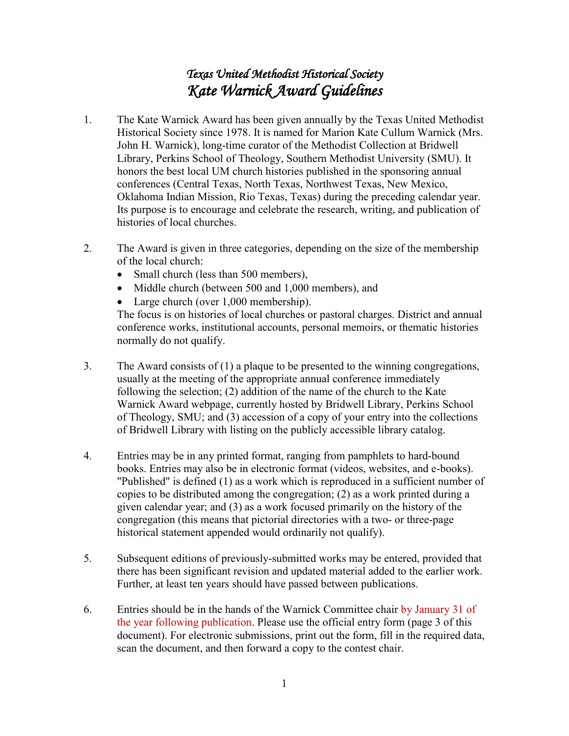## *Texas United Methodist Historical Society Kate Warnick Award Guidelines*

- 1. The Kate Warnick Award has been given annually by the Texas United Methodist Historical Society since 1978. It is named for Marion Kate Cullum Warnick (Mrs. John H. Warnick), long-time curator of the Methodist Collection at Bridwell Library, Perkins School of Theology, Southern Methodist University (SMU). It honors the best local UM church histories published in the sponsoring annual conferences (Central Texas, North Texas, Northwest Texas, New Mexico, Oklahoma Indian Mission, Rio Texas, Texas) during the preceding calendar year. Its purpose is to encourage and celebrate the research, writing, and publication of histories of local churches.
- 2. The Award is given in three categories, depending on the size of the membership of the local church:
	- Small church (less than 500 members),
	- Middle church (between 500 and 1,000 members), and
	- Large church (over 1,000 membership).

The focus is on histories of local churches or pastoral charges. District and annual conference works, institutional accounts, personal memoirs, or thematic histories normally do not qualify.

- 3. The Award consists of (1) a plaque to be presented to the winning congregations, usually at the meeting of the appropriate annual conference immediately following the selection; (2) addition of the name of the church to the Kate Warnick Award webpage, currently hosted by Bridwell Library, Perkins School of Theology, SMU; and (3) accession of a copy of your entry into the collections of Bridwell Library with listing on the publicly accessible library catalog.
- 4. Entries may be in any printed format, ranging from pamphlets to hard-bound books. Entries may also be in electronic format (videos, websites, and e-books). "Published" is defined (1) as a work which is reproduced in a sufficient number of copies to be distributed among the congregation; (2) as a work printed during a given calendar year; and (3) as a work focused primarily on the history of the congregation (this means that pictorial directories with a two- or three-page historical statement appended would ordinarily not qualify).
- 5. Subsequent editions of previously-submitted works may be entered, provided that there has been significant revision and updated material added to the earlier work. Further, at least ten years should have passed between publications.
- 6. Entries should be in the hands of the Warnick Committee chair by January 31 of the year following publication. Please use the official entry form (page 3 of this document). For electronic submissions, print out the form, fill in the required data, scan the document, and then forward a copy to the contest chair.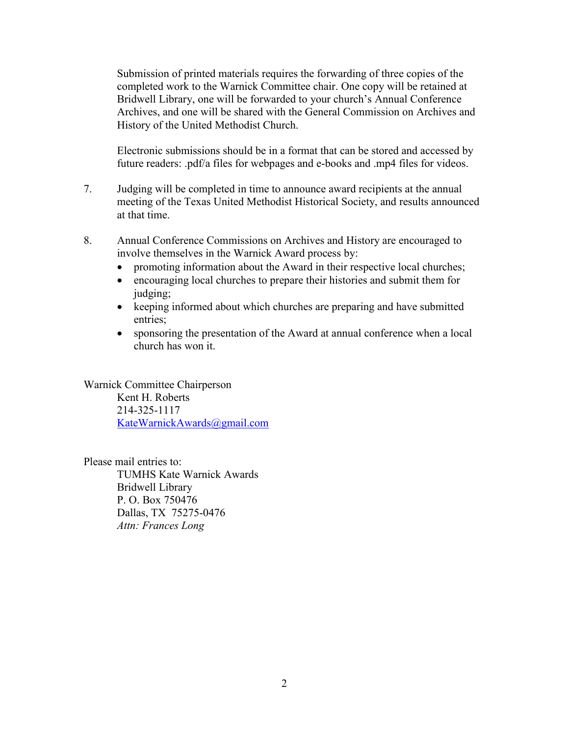Submission of printed materials requires the forwarding of three copies of the completed work to the Warnick Committee chair. One copy will be retained at Bridwell Library, one will be forwarded to your church's Annual Conference Archives, and one will be shared with the General Commission on Archives and History of the United Methodist Church.

Electronic submissions should be in a format that can be stored and accessed by future readers: .pdf/a files for webpages and e-books and .mp4 files for videos.

- 7. Judging will be completed in time to announce award recipients at the annual meeting of the Texas United Methodist Historical Society, and results announced at that time.
- 8. Annual Conference Commissions on Archives and History are encouraged to involve themselves in the Warnick Award process by:
	- promoting information about the Award in their respective local churches;
	- encouraging local churches to prepare their histories and submit them for judging;
	- keeping informed about which churches are preparing and have submitted entries;
	- sponsoring the presentation of the Award at annual conference when a local church has won it.

Warnick Committee Chairperson Kent H. Roberts 214-325-1117 [KateWarnickAwards@gmail.com](mailto:KateWarnickAwards@gmail.com)

Please mail entries to:

TUMHS Kate Warnick Awards Bridwell Library P. O. Box 750476 Dallas, TX 75275-0476 *Attn: Frances Long*